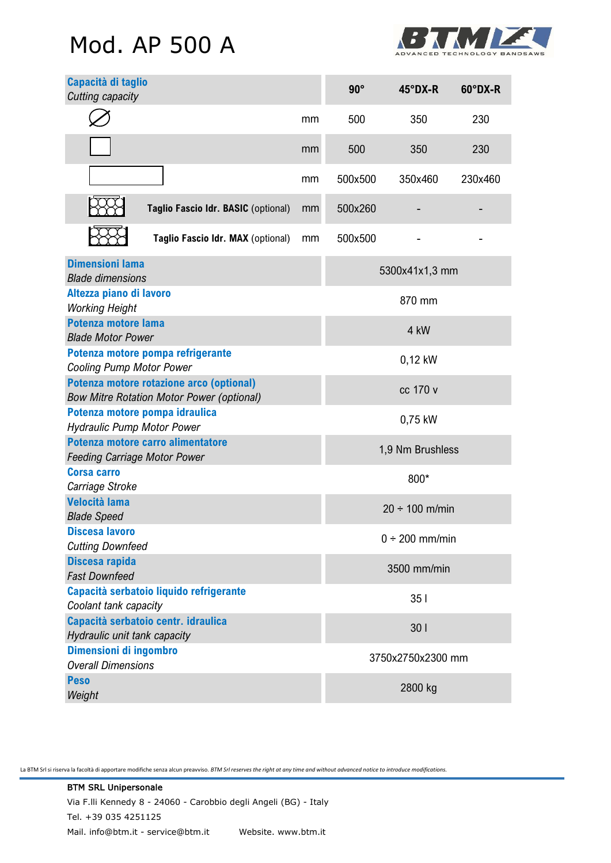# Mod. AP 500 A



| Capacità di taglio<br>Cutting capacity                                                       |    | $90^\circ$          | $45^{\circ}$ DX-R | 60°DX-R |
|----------------------------------------------------------------------------------------------|----|---------------------|-------------------|---------|
|                                                                                              | mm | 500                 | 350               | 230     |
|                                                                                              | mm | 500                 | 350               | 230     |
|                                                                                              | mm | 500x500             | 350x460           | 230x460 |
| Taglio Fascio Idr. BASIC (optional)                                                          | mm | 500x260             |                   |         |
| Taglio Fascio Idr. MAX (optional)                                                            | mm | 500x500             |                   |         |
| <b>Dimensioni lama</b><br><b>Blade dimensions</b>                                            |    | 5300x41x1,3 mm      |                   |         |
| Altezza piano di lavoro<br><b>Working Height</b>                                             |    | 870 mm              |                   |         |
| Potenza motore lama<br><b>Blade Motor Power</b>                                              |    | 4 kW                |                   |         |
| Potenza motore pompa refrigerante<br><b>Cooling Pump Motor Power</b>                         |    | 0,12 kW             |                   |         |
| Potenza motore rotazione arco (optional)<br><b>Bow Mitre Rotation Motor Power (optional)</b> |    | cc 170 v            |                   |         |
| Potenza motore pompa idraulica<br><b>Hydraulic Pump Motor Power</b>                          |    | 0,75 kW             |                   |         |
| Potenza motore carro alimentatore<br><b>Feeding Carriage Motor Power</b>                     |    | 1,9 Nm Brushless    |                   |         |
| <b>Corsa carro</b><br>Carriage Stroke                                                        |    | 800*                |                   |         |
| <b>Velocità lama</b><br><b>Blade Speed</b>                                                   |    | $20 \div 100$ m/min |                   |         |
| Discesa lavoro<br><b>Cutting Downfeed</b>                                                    |    | $0 \div 200$ mm/min |                   |         |
| Discesa rapida<br><b>Fast Downfeed</b>                                                       |    | 3500 mm/min         |                   |         |
| Capacità serbatoio liquido refrigerante<br>Coolant tank capacity                             |    | 351                 |                   |         |
| Capacità serbatoio centr. idraulica<br>Hydraulic unit tank capacity                          |    | 30 <sub>1</sub>     |                   |         |
| Dimensioni di ingombro<br><b>Overall Dimensions</b>                                          |    | 3750x2750x2300 mm   |                   |         |
| <b>Peso</b><br>Weight                                                                        |    | 2800 kg             |                   |         |

La BTM Srl si riserva la facoltà di apportare modifiche senza alcun preavviso. *BTM Srl reserves the right at any time and without advanced notice to introduce modifications.*